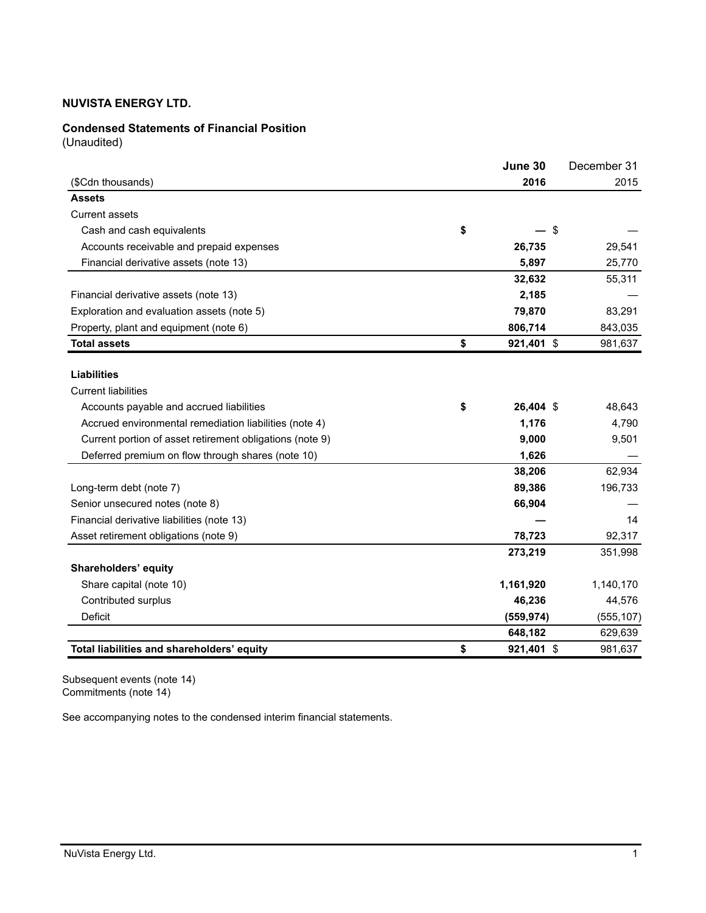# **Condensed Statements of Financial Position**

(Unaudited)

|                                                          | June 30          | December 31 |
|----------------------------------------------------------|------------------|-------------|
| (\$Cdn thousands)                                        | 2016             | 2015        |
| <b>Assets</b>                                            |                  |             |
| <b>Current assets</b>                                    |                  |             |
| Cash and cash equivalents                                | \$<br>\$         |             |
| Accounts receivable and prepaid expenses                 | 26,735           | 29,541      |
| Financial derivative assets (note 13)                    | 5,897            | 25,770      |
|                                                          | 32,632           | 55,311      |
| Financial derivative assets (note 13)                    | 2,185            |             |
| Exploration and evaluation assets (note 5)               | 79,870           | 83,291      |
| Property, plant and equipment (note 6)                   | 806,714          | 843,035     |
| <b>Total assets</b>                                      | \$<br>921,401 \$ | 981,637     |
|                                                          |                  |             |
| <b>Liabilities</b>                                       |                  |             |
| <b>Current liabilities</b>                               |                  |             |
| Accounts payable and accrued liabilities                 | \$<br>26,404 \$  | 48,643      |
| Accrued environmental remediation liabilities (note 4)   | 1,176            | 4,790       |
| Current portion of asset retirement obligations (note 9) | 9,000            | 9,501       |
| Deferred premium on flow through shares (note 10)        | 1,626            |             |
|                                                          | 38,206           | 62,934      |
| Long-term debt (note 7)                                  | 89,386           | 196,733     |
| Senior unsecured notes (note 8)                          | 66,904           |             |
| Financial derivative liabilities (note 13)               |                  | 14          |
| Asset retirement obligations (note 9)                    | 78,723           | 92,317      |
|                                                          | 273,219          | 351,998     |
| Shareholders' equity                                     |                  |             |
| Share capital (note 10)                                  | 1,161,920        | 1,140,170   |
| Contributed surplus                                      | 46,236           | 44,576      |
| <b>Deficit</b>                                           | (559, 974)       | (555, 107)  |
|                                                          | 648,182          | 629,639     |
| Total liabilities and shareholders' equity               | \$<br>921,401 \$ | 981,637     |

Subsequent events (note 14) Commitments (note 14)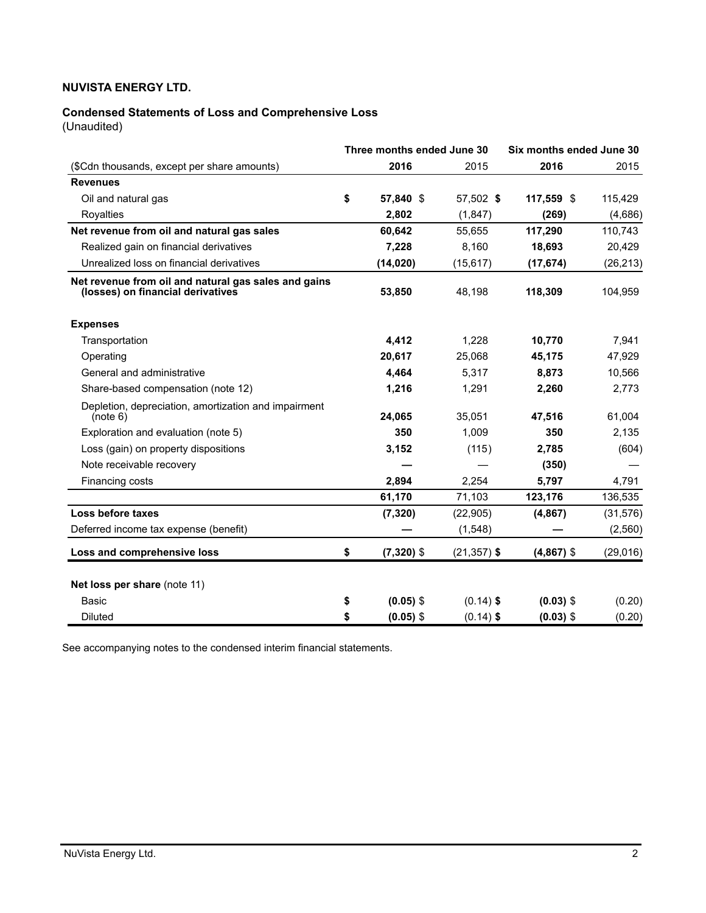# **Condensed Statements of Loss and Comprehensive Loss**

(Unaudited)

| Three months ended June 30                                                                |    |              |                |              | Six months ended June 30 |  |  |
|-------------------------------------------------------------------------------------------|----|--------------|----------------|--------------|--------------------------|--|--|
| (\$Cdn thousands, except per share amounts)                                               |    | 2016         | 2015           | 2016         | 2015                     |  |  |
| <b>Revenues</b>                                                                           |    |              |                |              |                          |  |  |
| Oil and natural gas                                                                       | \$ | 57.840 \$    | 57,502 \$      | 117,559 \$   | 115,429                  |  |  |
| Royalties                                                                                 |    | 2,802        | (1, 847)       | (269)        | (4,686)                  |  |  |
| Net revenue from oil and natural gas sales                                                |    | 60,642       | 55,655         | 117,290      | 110,743                  |  |  |
| Realized gain on financial derivatives                                                    |    | 7,228        | 8,160          | 18,693       | 20,429                   |  |  |
| Unrealized loss on financial derivatives                                                  |    | (14, 020)    | (15, 617)      | (17, 674)    | (26, 213)                |  |  |
| Net revenue from oil and natural gas sales and gains<br>(losses) on financial derivatives |    | 53,850       | 48,198         | 118,309      | 104,959                  |  |  |
| <b>Expenses</b>                                                                           |    |              |                |              |                          |  |  |
| Transportation                                                                            |    | 4,412        | 1,228          | 10,770       | 7,941                    |  |  |
| Operating                                                                                 |    | 20,617       | 25,068         | 45,175       | 47,929                   |  |  |
| General and administrative                                                                |    | 4,464        | 5,317          | 8,873        | 10,566                   |  |  |
| Share-based compensation (note 12)                                                        |    | 1,216        | 1,291          | 2,260        | 2,773                    |  |  |
| Depletion, depreciation, amortization and impairment<br>(note 6)                          |    | 24,065       | 35,051         | 47,516       | 61,004                   |  |  |
| Exploration and evaluation (note 5)                                                       |    | 350          | 1,009          | 350          | 2,135                    |  |  |
| Loss (gain) on property dispositions                                                      |    | 3,152        | (115)          | 2,785        | (604)                    |  |  |
| Note receivable recovery                                                                  |    |              |                | (350)        |                          |  |  |
| Financing costs                                                                           |    | 2,894        | 2,254          | 5.797        | 4,791                    |  |  |
|                                                                                           |    | 61,170       | 71,103         | 123,176      | 136,535                  |  |  |
| Loss before taxes                                                                         |    | (7, 320)     | (22, 905)      | (4, 867)     | (31, 576)                |  |  |
| Deferred income tax expense (benefit)                                                     |    |              | (1, 548)       |              | (2, 560)                 |  |  |
| Loss and comprehensive loss                                                               | \$ | $(7,320)$ \$ | $(21, 357)$ \$ | $(4,867)$ \$ | (29,016)                 |  |  |
| Net loss per share (note 11)                                                              |    |              |                |              |                          |  |  |
| <b>Basic</b>                                                                              | \$ | $(0.05)$ \$  | $(0.14)$ \$    | $(0.03)$ \$  | (0.20)                   |  |  |
| <b>Diluted</b>                                                                            | \$ | $(0.05)$ \$  | $(0.14)$ \$    | $(0.03)$ \$  | (0.20)                   |  |  |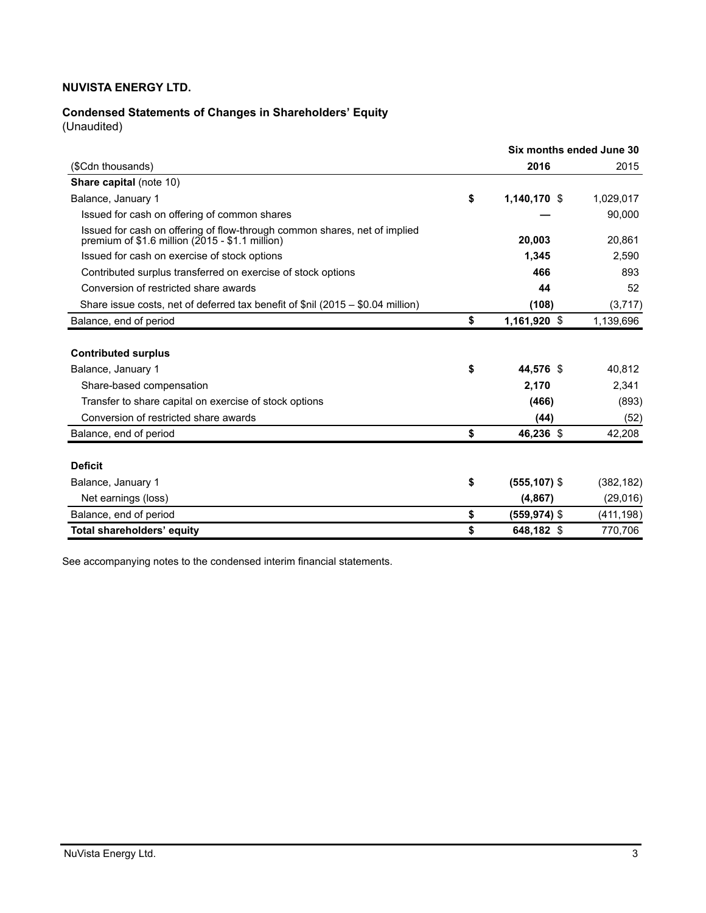# **Condensed Statements of Changes in Shareholders' Equity**

(Unaudited)

|                                                                                                                                 | Six months ended June 30 |            |
|---------------------------------------------------------------------------------------------------------------------------------|--------------------------|------------|
| (\$Cdn thousands)                                                                                                               | 2016                     | 2015       |
| <b>Share capital (note 10)</b>                                                                                                  |                          |            |
| Balance, January 1                                                                                                              | \$<br>1,140,170 \$       | 1,029,017  |
| Issued for cash on offering of common shares                                                                                    |                          | 90,000     |
| Issued for cash on offering of flow-through common shares, net of implied<br>premium of $$1.6$ million ( $2015 - $1.1$ million) | 20,003                   | 20,861     |
| Issued for cash on exercise of stock options                                                                                    | 1,345                    | 2,590      |
| Contributed surplus transferred on exercise of stock options                                                                    | 466                      | 893        |
| Conversion of restricted share awards                                                                                           | 44                       | 52         |
| Share issue costs, net of deferred tax benefit of \$nil (2015 – \$0.04 million)                                                 | (108)                    | (3,717)    |
| Balance, end of period                                                                                                          | \$<br>1,161,920 \$       | 1,139,696  |
| <b>Contributed surplus</b>                                                                                                      |                          |            |
| Balance, January 1                                                                                                              | \$<br>44.576 \$          | 40,812     |
| Share-based compensation                                                                                                        | 2,170                    | 2,341      |
| Transfer to share capital on exercise of stock options                                                                          | (466)                    | (893)      |
| Conversion of restricted share awards                                                                                           | (44)                     | (52)       |
| Balance, end of period                                                                                                          | \$<br>46,236 \$          | 42,208     |
|                                                                                                                                 |                          |            |
| <b>Deficit</b>                                                                                                                  |                          |            |
| Balance, January 1                                                                                                              | \$<br>$(555, 107)$ \$    | (382, 182) |
| Net earnings (loss)                                                                                                             | (4, 867)                 | (29,016)   |
| Balance, end of period                                                                                                          | \$<br>$(559, 974)$ \$    | (411, 198) |
| Total shareholders' equity                                                                                                      | \$<br>648,182 \$         | 770,706    |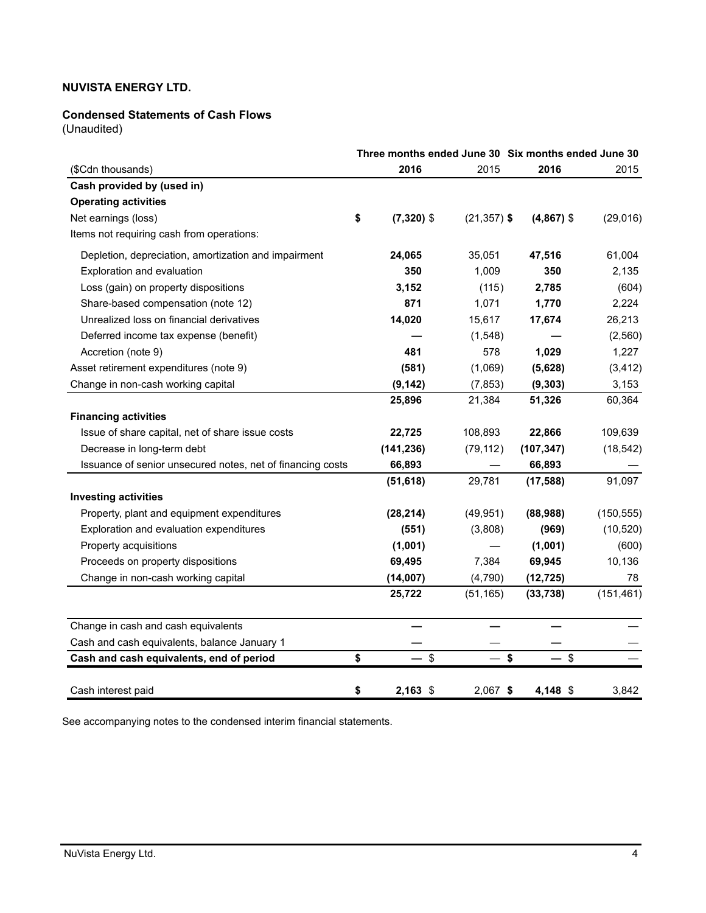## **Condensed Statements of Cash Flows**

(Unaudited)

|                                                            | Three months ended June 30 Six months ended June 30 |                |              |            |
|------------------------------------------------------------|-----------------------------------------------------|----------------|--------------|------------|
| (\$Cdn thousands)                                          | 2016                                                | 2015           | 2016         | 2015       |
| Cash provided by (used in)                                 |                                                     |                |              |            |
| <b>Operating activities</b>                                |                                                     |                |              |            |
| Net earnings (loss)                                        | \$<br>$(7,320)$ \$                                  | $(21, 357)$ \$ | $(4,867)$ \$ | (29,016)   |
| Items not requiring cash from operations:                  |                                                     |                |              |            |
| Depletion, depreciation, amortization and impairment       | 24,065                                              | 35,051         | 47,516       | 61,004     |
| Exploration and evaluation                                 | 350                                                 | 1,009          | 350          | 2,135      |
| Loss (gain) on property dispositions                       | 3,152                                               | (115)          | 2,785        | (604)      |
| Share-based compensation (note 12)                         | 871                                                 | 1,071          | 1,770        | 2,224      |
| Unrealized loss on financial derivatives                   | 14,020                                              | 15,617         | 17,674       | 26,213     |
| Deferred income tax expense (benefit)                      |                                                     | (1,548)        |              | (2, 560)   |
| Accretion (note 9)                                         | 481                                                 | 578            | 1,029        | 1,227      |
| Asset retirement expenditures (note 9)                     | (581)                                               | (1,069)        | (5,628)      | (3, 412)   |
| Change in non-cash working capital                         | (9, 142)                                            | (7, 853)       | (9, 303)     | 3,153      |
|                                                            | 25,896                                              | 21,384         | 51,326       | 60,364     |
| <b>Financing activities</b>                                |                                                     |                |              |            |
| Issue of share capital, net of share issue costs           | 22,725                                              | 108,893        | 22,866       | 109,639    |
| Decrease in long-term debt                                 | (141, 236)                                          | (79, 112)      | (107, 347)   | (18, 542)  |
| Issuance of senior unsecured notes, net of financing costs | 66,893                                              |                | 66,893       |            |
|                                                            | (51, 618)                                           | 29,781         | (17, 588)    | 91,097     |
| <b>Investing activities</b>                                |                                                     |                |              |            |
| Property, plant and equipment expenditures                 | (28, 214)                                           | (49, 951)      | (88,988)     | (150, 555) |
| Exploration and evaluation expenditures                    | (551)                                               | (3,808)        | (969)        | (10, 520)  |
| Property acquisitions                                      | (1,001)                                             |                | (1,001)      | (600)      |
| Proceeds on property dispositions                          | 69,495                                              | 7,384          | 69,945       | 10,136     |
| Change in non-cash working capital                         | (14,007)                                            | (4,790)        | (12, 725)    | 78         |
|                                                            | 25,722                                              | (51, 165)      | (33, 738)    | (151, 461) |
| Change in cash and cash equivalents                        |                                                     |                |              |            |
| Cash and cash equivalents, balance January 1               |                                                     |                |              |            |
| Cash and cash equivalents, end of period                   | \$<br>$-$ \$                                        | $-$ \$         | $-$ \$       |            |
| Cash interest paid                                         | \$<br>$2,163$ \$                                    | 2,067 \$       | 4,148 \$     | 3,842      |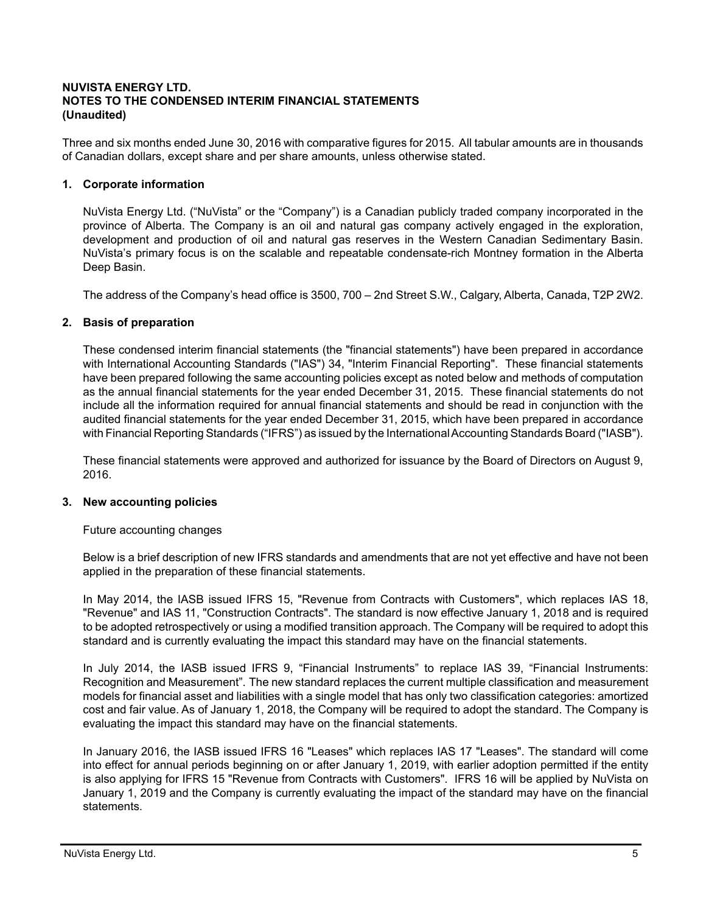## **NUVISTA ENERGY LTD. NOTES TO THE CONDENSED INTERIM FINANCIAL STATEMENTS (Unaudited)**

Three and six months ended June 30, 2016 with comparative figures for 2015. All tabular amounts are in thousands of Canadian dollars, except share and per share amounts, unless otherwise stated.

## **1. Corporate information**

NuVista Energy Ltd. ("NuVista" or the "Company") is a Canadian publicly traded company incorporated in the province of Alberta. The Company is an oil and natural gas company actively engaged in the exploration, development and production of oil and natural gas reserves in the Western Canadian Sedimentary Basin. NuVista's primary focus is on the scalable and repeatable condensate-rich Montney formation in the Alberta Deep Basin.

The address of the Company's head office is 3500, 700 – 2nd Street S.W., Calgary, Alberta, Canada, T2P 2W2.

## **2. Basis of preparation**

These condensed interim financial statements (the "financial statements") have been prepared in accordance with International Accounting Standards ("IAS") 34, "Interim Financial Reporting". These financial statements have been prepared following the same accounting policies except as noted below and methods of computation as the annual financial statements for the year ended December 31, 2015. These financial statements do not include all the information required for annual financial statements and should be read in conjunction with the audited financial statements for the year ended December 31, 2015, which have been prepared in accordance with Financial Reporting Standards ("IFRS") as issued by the International Accounting Standards Board ("IASB").

These financial statements were approved and authorized for issuance by the Board of Directors on August 9, 2016.

## **3. New accounting policies**

Future accounting changes

Below is a brief description of new IFRS standards and amendments that are not yet effective and have not been applied in the preparation of these financial statements.

In May 2014, the IASB issued IFRS 15, "Revenue from Contracts with Customers", which replaces IAS 18, "Revenue" and IAS 11, "Construction Contracts". The standard is now effective January 1, 2018 and is required to be adopted retrospectively or using a modified transition approach. The Company will be required to adopt this standard and is currently evaluating the impact this standard may have on the financial statements.

In July 2014, the IASB issued IFRS 9, "Financial Instruments" to replace IAS 39, "Financial Instruments: Recognition and Measurement". The new standard replaces the current multiple classification and measurement models for financial asset and liabilities with a single model that has only two classification categories: amortized cost and fair value. As of January 1, 2018, the Company will be required to adopt the standard. The Company is evaluating the impact this standard may have on the financial statements.

In January 2016, the IASB issued IFRS 16 "Leases" which replaces IAS 17 "Leases". The standard will come into effect for annual periods beginning on or after January 1, 2019, with earlier adoption permitted if the entity is also applying for IFRS 15 "Revenue from Contracts with Customers". IFRS 16 will be applied by NuVista on January 1, 2019 and the Company is currently evaluating the impact of the standard may have on the financial statements.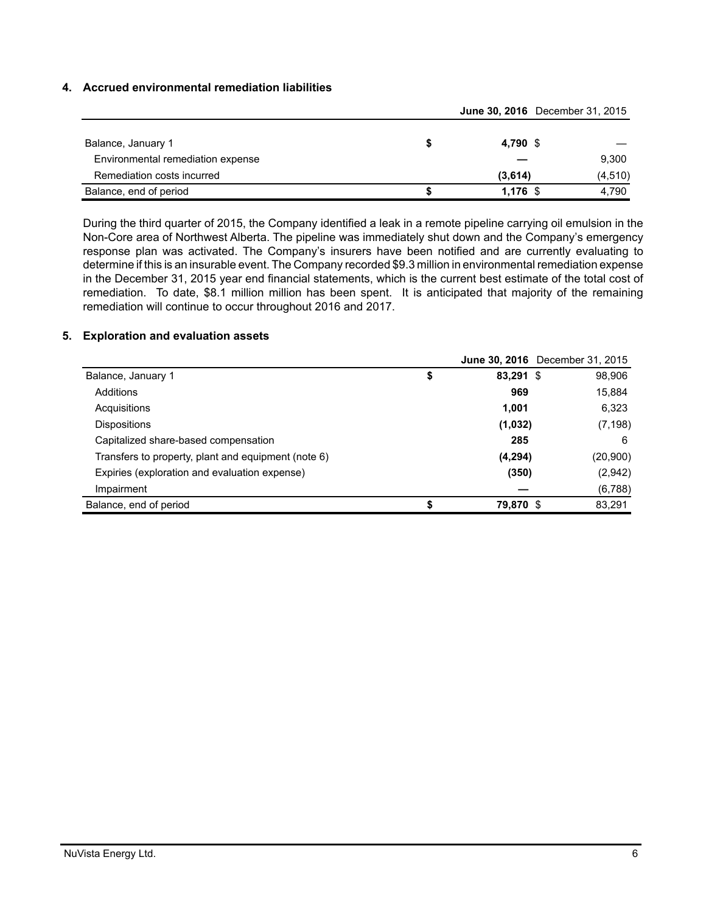## **4. Accrued environmental remediation liabilities**

|                                   |            | June 30, 2016 December 31, 2015 |  |
|-----------------------------------|------------|---------------------------------|--|
| Balance, January 1                | 4,790 \$   |                                 |  |
| Environmental remediation expense |            | 9,300                           |  |
| Remediation costs incurred        | (3,614)    | (4, 510)                        |  |
| Balance, end of period            | $1,176$ \$ | 4.790                           |  |

During the third quarter of 2015, the Company identified a leak in a remote pipeline carrying oil emulsion in the Non-Core area of Northwest Alberta. The pipeline was immediately shut down and the Company's emergency response plan was activated. The Company's insurers have been notified and are currently evaluating to determine if this is an insurable event. The Company recorded \$9.3 million in environmental remediation expense in the December 31, 2015 year end financial statements, which is the current best estimate of the total cost of remediation. To date, \$8.1 million million has been spent. It is anticipated that majority of the remaining remediation will continue to occur throughout 2016 and 2017.

#### **5. Exploration and evaluation assets**

|                                                     |           | <b>June 30, 2016</b> December 31, 2015 |
|-----------------------------------------------------|-----------|----------------------------------------|
| Balance, January 1                                  | 83,291 \$ | 98,906                                 |
| Additions                                           | 969       | 15,884                                 |
| Acquisitions                                        | 1.001     | 6,323                                  |
| <b>Dispositions</b>                                 | (1,032)   | (7, 198)                               |
| Capitalized share-based compensation                | 285       | 6                                      |
| Transfers to property, plant and equipment (note 6) | (4,294)   | (20,900)                               |
| Expiries (exploration and evaluation expense)       | (350)     | (2,942)                                |
| Impairment                                          |           | (6,788)                                |
| Balance, end of period                              | 79,870 \$ | 83,291                                 |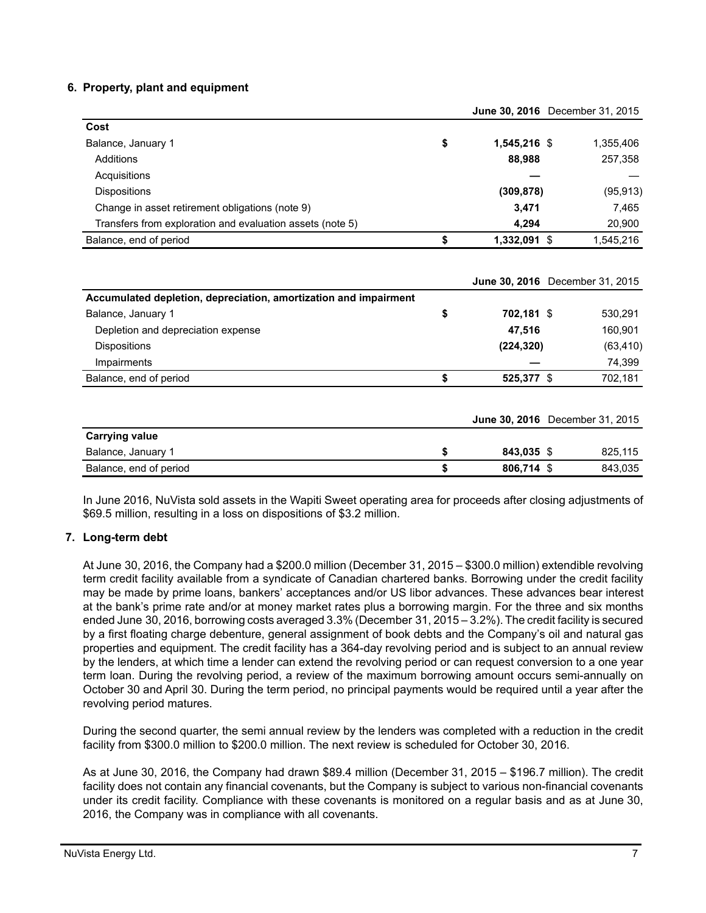## **6. Property, plant and equipment**

|                                                           |                      | June 30, ZUTO December 31, ZUTS |
|-----------------------------------------------------------|----------------------|---------------------------------|
| Cost                                                      |                      |                                 |
| Balance, January 1                                        | \$<br>$1.545.216$ \$ | 1,355,406                       |
| Additions                                                 | 88,988               | 257,358                         |
| Acquisitions                                              |                      |                                 |
| <b>Dispositions</b>                                       | (309, 878)           | (95, 913)                       |
| Change in asset retirement obligations (note 9)           | 3.471                | 7,465                           |
| Transfers from exploration and evaluation assets (note 5) | 4.294                | 20,900                          |
| Balance, end of period                                    | 1,332,091 \$         | 1,545,216                       |

|                                                                  |                  | <b>June 30, 2016</b> December 31, 2015 |
|------------------------------------------------------------------|------------------|----------------------------------------|
| Accumulated depletion, depreciation, amortization and impairment |                  |                                        |
| Balance, January 1                                               | \$<br>702,181 \$ | 530,291                                |
| Depletion and depreciation expense                               | 47,516           | 160,901                                |
| <b>Dispositions</b>                                              | (224, 320)       | (63, 410)                              |
| Impairments                                                      |                  | 74,399                                 |
| Balance, end of period                                           | \$<br>525,377 \$ | 702,181                                |
|                                                                  |                  | <b>June 30, 2016</b> December 31, 2015 |
| <b>Carrying value</b>                                            |                  |                                        |
| Balance, January 1                                               | \$<br>843.035 \$ | 825.115                                |

In June 2016, NuVista sold assets in the Wapiti Sweet operating area for proceeds after closing adjustments of \$69.5 million, resulting in a loss on dispositions of \$3.2 million.

Balance, end of period **\$ 806,714** \$ 843,035

## **7. Long-term debt**

At June 30, 2016, the Company had a \$200.0 million (December 31, 2015 – \$300.0 million) extendible revolving term credit facility available from a syndicate of Canadian chartered banks. Borrowing under the credit facility may be made by prime loans, bankers' acceptances and/or US libor advances. These advances bear interest at the bank's prime rate and/or at money market rates plus a borrowing margin. For the three and six months ended June 30, 2016, borrowing costs averaged 3.3% (December 31, 2015 – 3.2%). The credit facility is secured by a first floating charge debenture, general assignment of book debts and the Company's oil and natural gas properties and equipment. The credit facility has a 364-day revolving period and is subject to an annual review by the lenders, at which time a lender can extend the revolving period or can request conversion to a one year term loan. During the revolving period, a review of the maximum borrowing amount occurs semi-annually on October 30 and April 30. During the term period, no principal payments would be required until a year after the revolving period matures.

During the second quarter, the semi annual review by the lenders was completed with a reduction in the credit facility from \$300.0 million to \$200.0 million. The next review is scheduled for October 30, 2016.

As at June 30, 2016, the Company had drawn \$89.4 million (December 31, 2015 – \$196.7 million). The credit facility does not contain any financial covenants, but the Company is subject to various non-financial covenants under its credit facility. Compliance with these covenants is monitored on a regular basis and as at June 30, 2016, the Company was in compliance with all covenants.

**June 30, 2016** December 31, 2015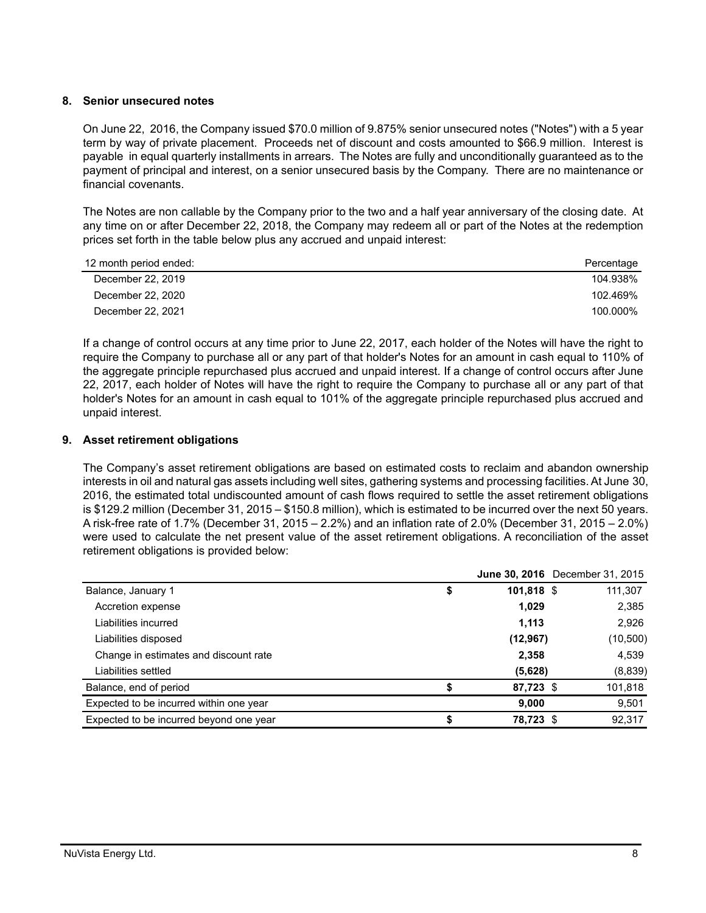## **8. Senior unsecured notes**

On June 22, 2016, the Company issued \$70.0 million of 9.875% senior unsecured notes ("Notes") with a 5 year term by way of private placement. Proceeds net of discount and costs amounted to \$66.9 million. Interest is payable in equal quarterly installments in arrears. The Notes are fully and unconditionally guaranteed as to the payment of principal and interest, on a senior unsecured basis by the Company. There are no maintenance or financial covenants.

The Notes are non callable by the Company prior to the two and a half year anniversary of the closing date. At any time on or after December 22, 2018, the Company may redeem all or part of the Notes at the redemption prices set forth in the table below plus any accrued and unpaid interest:

| 12 month period ended: | Percentage |
|------------------------|------------|
| December 22, 2019      | 104.938%   |
| December 22, 2020      | 102.469%   |
| December 22, 2021      | 100.000%   |

If a change of control occurs at any time prior to June 22, 2017, each holder of the Notes will have the right to require the Company to purchase all or any part of that holder's Notes for an amount in cash equal to 110% of the aggregate principle repurchased plus accrued and unpaid interest. If a change of control occurs after June 22, 2017, each holder of Notes will have the right to require the Company to purchase all or any part of that holder's Notes for an amount in cash equal to 101% of the aggregate principle repurchased plus accrued and unpaid interest.

# **9. Asset retirement obligations**

The Company's asset retirement obligations are based on estimated costs to reclaim and abandon ownership interests in oil and natural gas assets including well sites, gathering systems and processing facilities. At June 30, 2016, the estimated total undiscounted amount of cash flows required to settle the asset retirement obligations is \$129.2 million (December 31, 2015 – \$150.8 million), which is estimated to be incurred over the next 50 years. A risk-free rate of 1.7% (December 31, 2015 – 2.2%) and an inflation rate of 2.0% (December 31, 2015 – 2.0%) were used to calculate the net present value of the asset retirement obligations. A reconciliation of the asset retirement obligations is provided below:

| \$ |       | 111,307                                                                                                |
|----|-------|--------------------------------------------------------------------------------------------------------|
|    | 1,029 | 2,385                                                                                                  |
|    | 1,113 | 2,926                                                                                                  |
|    |       | (10, 500)                                                                                              |
|    | 2,358 | 4,539                                                                                                  |
|    |       | (8,839)                                                                                                |
|    |       | 101,818                                                                                                |
|    | 9,000 | 9,501                                                                                                  |
| S  |       | 92,317                                                                                                 |
|    |       | <b>June 30, 2016</b> December 31, 2015<br>101,818 \$<br>(12, 967)<br>(5,628)<br>87,723 \$<br>78,723 \$ |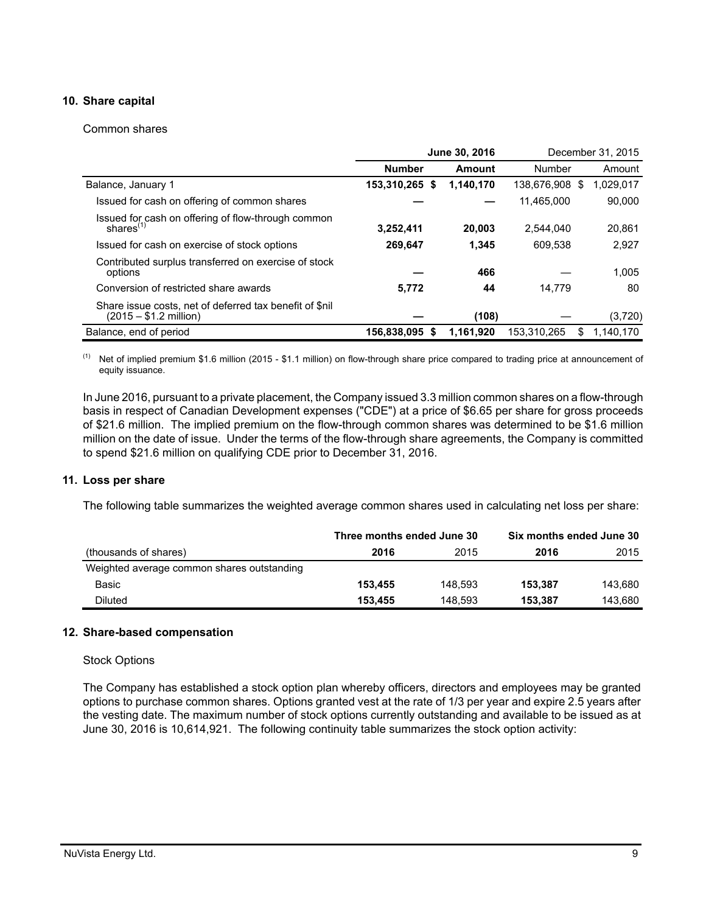# **10. Share capital**

#### Common shares

|                                                                                    | June 30, 2016  |           | December 31, 2015 |    |           |
|------------------------------------------------------------------------------------|----------------|-----------|-------------------|----|-----------|
|                                                                                    | <b>Number</b>  | Amount    | Number            |    | Amount    |
| Balance, January 1                                                                 | 153,310,265 \$ | 1.140.170 | 138.676.908       | -S | 1,029,017 |
| Issued for cash on offering of common shares                                       |                |           | 11.465.000        |    | 90.000    |
| Issued for cash on offering of flow-through common<br>shares $(1)$                 | 3,252,411      | 20,003    | 2.544.040         |    | 20,861    |
| Issued for cash on exercise of stock options                                       | 269,647        | 1,345     | 609.538           |    | 2,927     |
| Contributed surplus transferred on exercise of stock<br>options                    |                | 466       |                   |    | 1.005     |
| Conversion of restricted share awards                                              | 5,772          | 44        | 14,779            |    | 80        |
| Share issue costs, net of deferred tax benefit of \$nil<br>$(2015 - $1.2$ million) |                | (108)     |                   |    | (3,720)   |
| Balance, end of period                                                             | 156,838,095 \$ | 1.161.920 | 153,310,265       | S  | 1.140.170 |

(1) Net of implied premium \$1.6 million (2015 - \$1.1 million) on flow-through share price compared to trading price at announcement of equity issuance.

In June 2016, pursuant to a private placement, the Company issued 3.3 million common shares on a flow-through basis in respect of Canadian Development expenses ("CDE") at a price of \$6.65 per share for gross proceeds of \$21.6 million. The implied premium on the flow-through common shares was determined to be \$1.6 million million on the date of issue. Under the terms of the flow-through share agreements, the Company is committed to spend \$21.6 million on qualifying CDE prior to December 31, 2016.

#### **11. Loss per share**

The following table summarizes the weighted average common shares used in calculating net loss per share:

|                                            | Three months ended June 30 |         | Six months ended June 30 |         |
|--------------------------------------------|----------------------------|---------|--------------------------|---------|
| (thousands of shares)                      | 2016                       | 2015    | 2016                     | 2015    |
| Weighted average common shares outstanding |                            |         |                          |         |
| Basic                                      | 153.455                    | 148.593 | 153.387                  | 143.680 |
| Diluted                                    | 153.455                    | 148.593 | 153.387                  | 143.680 |

#### **12. Share-based compensation**

#### Stock Options

The Company has established a stock option plan whereby officers, directors and employees may be granted options to purchase common shares. Options granted vest at the rate of 1/3 per year and expire 2.5 years after the vesting date. The maximum number of stock options currently outstanding and available to be issued as at June 30, 2016 is 10,614,921. The following continuity table summarizes the stock option activity: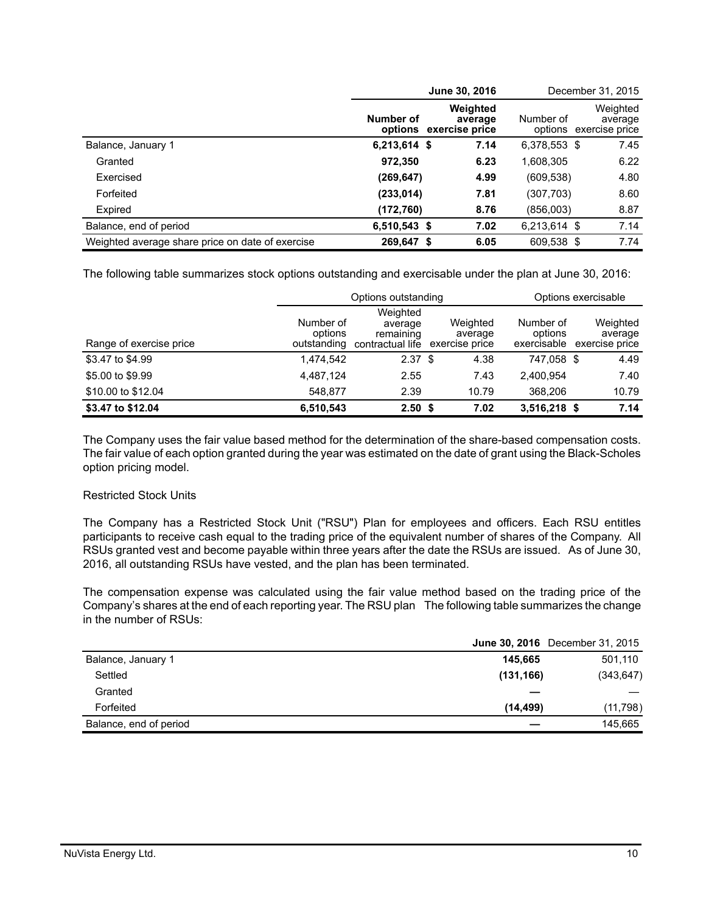|                                                  |              | June 30, 2016                                 |              | December 31, 2015                             |
|--------------------------------------------------|--------------|-----------------------------------------------|--------------|-----------------------------------------------|
|                                                  | Number of    | Weighted<br>average<br>options exercise price | Number of    | Weighted<br>average<br>options exercise price |
| Balance, January 1                               | 6,213,614 \$ | 7.14                                          | 6,378,553 \$ | 7.45                                          |
| Granted                                          | 972,350      | 6.23                                          | 1,608,305    | 6.22                                          |
| Exercised                                        | (269, 647)   | 4.99                                          | (609, 538)   | 4.80                                          |
| Forfeited                                        | (233, 014)   | 7.81                                          | (307,703)    | 8.60                                          |
| Expired                                          | (172,760)    | 8.76                                          | (856,003)    | 8.87                                          |
| Balance, end of period                           | 6,510,543 \$ | 7.02                                          | 6,213,614 \$ | 7.14                                          |
| Weighted average share price on date of exercise | 269,647 \$   | 6.05                                          | 609,538 \$   | 7.74                                          |

The following table summarizes stock options outstanding and exercisable under the plan at June 30, 2016:

|                         |                                     | Options outstanding                                  |                                       | Options exercisable                 |                                       |  |
|-------------------------|-------------------------------------|------------------------------------------------------|---------------------------------------|-------------------------------------|---------------------------------------|--|
| Range of exercise price | Number of<br>options<br>outstanding | Weighted<br>average<br>remaining<br>contractual life | Weighted<br>average<br>exercise price | Number of<br>options<br>exercisable | Weighted<br>average<br>exercise price |  |
| \$3.47 to \$4.99        | 1.474.542                           | 2.37 <sup>5</sup>                                    | 4.38                                  | 747.058 \$                          | 4.49                                  |  |
| \$5.00 to \$9.99        | 4,487,124                           | 2.55                                                 | 7.43                                  | 2.400.954                           | 7.40                                  |  |
| \$10.00 to \$12.04      | 548.877                             | 2.39                                                 | 10.79                                 | 368,206                             | 10.79                                 |  |
| \$3.47 to \$12.04       | 6,510,543                           | 2.50 <sup>5</sup>                                    | 7.02                                  | $3,516,218$ \$                      | 7.14                                  |  |

The Company uses the fair value based method for the determination of the share-based compensation costs. The fair value of each option granted during the year was estimated on the date of grant using the Black-Scholes option pricing model.

## Restricted Stock Units

The Company has a Restricted Stock Unit ("RSU") Plan for employees and officers. Each RSU entitles participants to receive cash equal to the trading price of the equivalent number of shares of the Company. All RSUs granted vest and become payable within three years after the date the RSUs are issued. As of June 30, 2016, all outstanding RSUs have vested, and the plan has been terminated.

The compensation expense was calculated using the fair value method based on the trading price of the Company's shares at the end of each reporting year. The RSU plan The following table summarizes the change in the number of RSUs:

|                        | <b>June 30, 2016</b> December 31, 2015 |            |
|------------------------|----------------------------------------|------------|
| Balance, January 1     | 145.665                                | 501,110    |
| Settled                | (131, 166)                             | (343, 647) |
| Granted                |                                        |            |
| Forfeited              | (14, 499)                              | (11,798)   |
| Balance, end of period |                                        | 145,665    |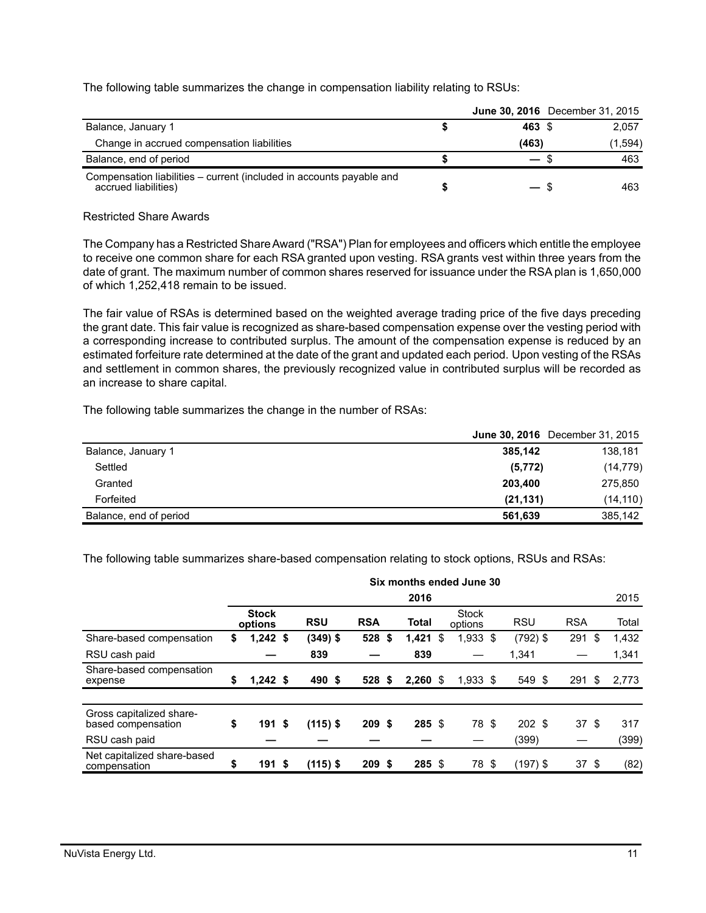The following table summarizes the change in compensation liability relating to RSUs:

|                                                                                              | <b>June 30, 2016</b> December 31, 2015 |     |         |
|----------------------------------------------------------------------------------------------|----------------------------------------|-----|---------|
| Balance, January 1                                                                           | 463 \$                                 |     | 2.057   |
| Change in accrued compensation liabilities                                                   | (463)                                  |     | (1,594) |
| Balance, end of period                                                                       | $\overline{\phantom{0}}$               | . ზ | 463     |
| Compensation liabilities – current (included in accounts payable and<br>accrued liabilities) |                                        |     | 463     |

#### Restricted Share Awards

The Company has a Restricted Share Award ("RSA") Plan for employees and officers which entitle the employee to receive one common share for each RSA granted upon vesting. RSA grants vest within three years from the date of grant. The maximum number of common shares reserved for issuance under the RSA plan is 1,650,000 of which 1,252,418 remain to be issued.

The fair value of RSAs is determined based on the weighted average trading price of the five days preceding the grant date. This fair value is recognized as share-based compensation expense over the vesting period with a corresponding increase to contributed surplus. The amount of the compensation expense is reduced by an estimated forfeiture rate determined at the date of the grant and updated each period. Upon vesting of the RSAs and settlement in common shares, the previously recognized value in contributed surplus will be recorded as an increase to share capital.

The following table summarizes the change in the number of RSAs:

|                        | <b>June 30, 2016</b> December 31, 2015 |           |
|------------------------|----------------------------------------|-----------|
| Balance, January 1     | 385.142                                | 138,181   |
| Settled                | (5, 772)                               | (14, 779) |
| Granted                | 203.400                                | 275,850   |
| Forfeited              | (21, 131)                              | (14, 110) |
| Balance, end of period | 561.639                                | 385.142   |

The following table summarizes share-based compensation relating to stock options, RSUs and RSAs:

|                                                | Six months ended June 30 |                         |      |            |            |  |            |    |                         |  |            |            |       |
|------------------------------------------------|--------------------------|-------------------------|------|------------|------------|--|------------|----|-------------------------|--|------------|------------|-------|
|                                                |                          | 2016                    |      |            |            |  |            |    |                         |  |            |            | 2015  |
|                                                |                          | <b>Stock</b><br>options |      | <b>RSU</b> | <b>RSA</b> |  | Total      |    | <b>Stock</b><br>options |  | <b>RSU</b> | <b>RSA</b> | Total |
| Share-based compensation                       | \$                       | $1,242$ \$              |      | $(349)$ \$ | 528 \$     |  | 1,421      | \$ | 1,933 \$                |  | $(792)$ \$ | 291<br>\$  | 1,432 |
| RSU cash paid                                  |                          |                         |      | 839        |            |  | 839        |    |                         |  | 1,341      |            | 1,341 |
| Share-based compensation<br>expense            | \$                       | $1,242$ \$              |      | 490 \$     | 528S       |  | $2,260$ \$ |    | $1,933$ \$              |  | 549 \$     | $291$ \$   | 2,773 |
|                                                |                          |                         |      |            |            |  |            |    |                         |  |            |            |       |
| Gross capitalized share-<br>based compensation | \$                       | 191S                    |      | $(115)$ \$ | 209S       |  | $285$ \$   |    | 78 \$                   |  | 202S       | 37S        | 317   |
| RSU cash paid                                  |                          |                         |      |            |            |  |            |    |                         |  | (399)      |            | (399) |
| Net capitalized share-based<br>compensation    | \$                       | 191                     | - \$ | $(115)$ \$ | 209S       |  | 285 \$     |    | 78 \$                   |  | (197) \$   | 37 \$      | (82)  |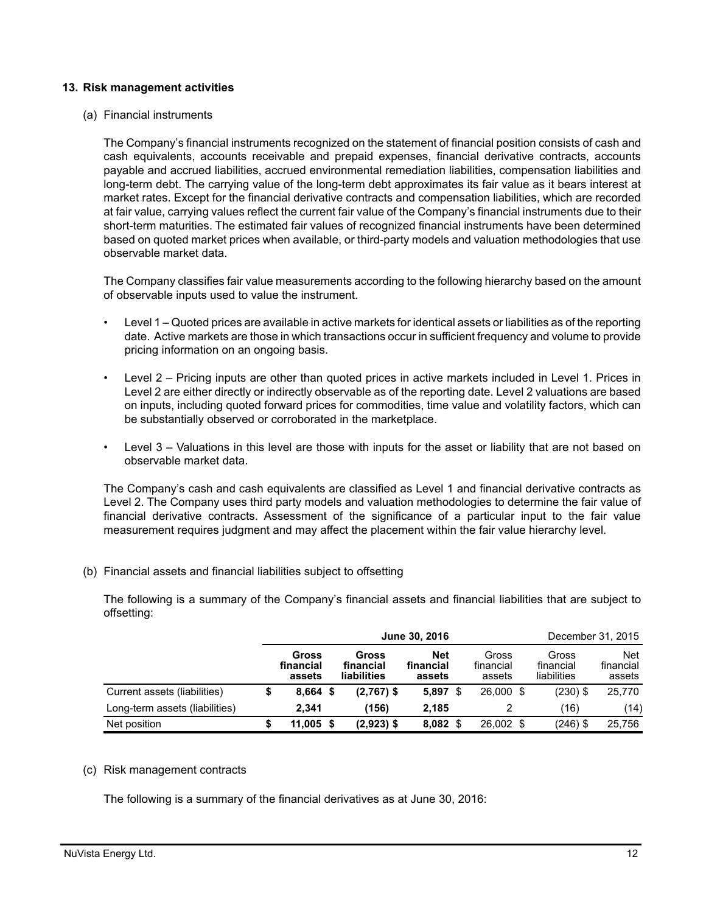#### **13. Risk management activities**

(a) Financial instruments

The Company's financial instruments recognized on the statement of financial position consists of cash and cash equivalents, accounts receivable and prepaid expenses, financial derivative contracts, accounts payable and accrued liabilities, accrued environmental remediation liabilities, compensation liabilities and long-term debt. The carrying value of the long-term debt approximates its fair value as it bears interest at market rates. Except for the financial derivative contracts and compensation liabilities, which are recorded at fair value, carrying values reflect the current fair value of the Company's financial instruments due to their short-term maturities. The estimated fair values of recognized financial instruments have been determined based on quoted market prices when available, or third-party models and valuation methodologies that use observable market data.

The Company classifies fair value measurements according to the following hierarchy based on the amount of observable inputs used to value the instrument.

- Level 1 Quoted prices are available in active markets for identical assets or liabilities as of the reporting date. Active markets are those in which transactions occur in sufficient frequency and volume to provide pricing information on an ongoing basis.
- Level 2 Pricing inputs are other than quoted prices in active markets included in Level 1. Prices in Level 2 are either directly or indirectly observable as of the reporting date. Level 2 valuations are based on inputs, including quoted forward prices for commodities, time value and volatility factors, which can be substantially observed or corroborated in the marketplace.
- Level 3 Valuations in this level are those with inputs for the asset or liability that are not based on observable market data.

The Company's cash and cash equivalents are classified as Level 1 and financial derivative contracts as Level 2. The Company uses third party models and valuation methodologies to determine the fair value of financial derivative contracts. Assessment of the significance of a particular input to the fair value measurement requires judgment and may affect the placement within the fair value hierarchy level.

(b) Financial assets and financial liabilities subject to offsetting

The following is a summary of the Company's financial assets and financial liabilities that are subject to offsetting:

|                                | June 30, 2016 |                              |  |                                   |                            |  |                              | December 31, 2015 |                                   |                                   |  |
|--------------------------------|---------------|------------------------------|--|-----------------------------------|----------------------------|--|------------------------------|-------------------|-----------------------------------|-----------------------------------|--|
|                                |               | Gross<br>financial<br>assets |  | Gross<br>financial<br>liabilities | Net<br>financial<br>assets |  | Gross<br>financial<br>assets |                   | Gross<br>financial<br>liabilities | <b>Net</b><br>financial<br>assets |  |
| Current assets (liabilities)   |               | $8.664$ \$                   |  | $(2,767)$ \$                      | 5,897                      |  | 26,000 \$                    |                   | $(230)$ \$                        | 25,770                            |  |
| Long-term assets (liabilities) |               | 2.341                        |  | (156)                             | 2,185                      |  |                              |                   | (16)                              | (14)                              |  |
| Net position                   |               | $11,005$ \$                  |  | $(2,923)$ \$                      | 8,082                      |  | 26,002 \$                    |                   | $(246)$ \$                        | 25.756                            |  |

#### (c) Risk management contracts

The following is a summary of the financial derivatives as at June 30, 2016: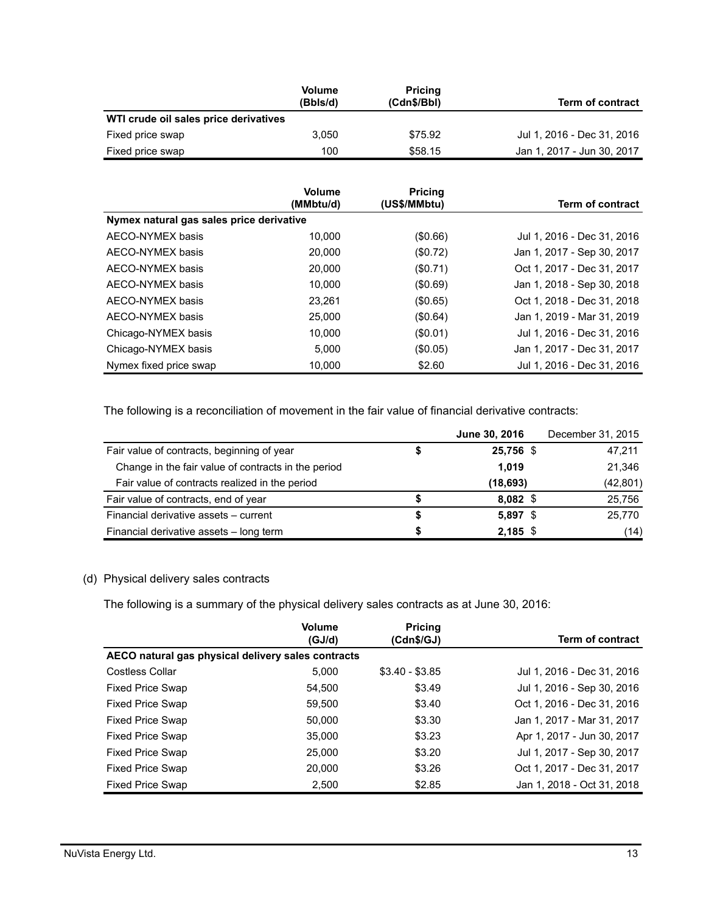|                                       | <b>Volume</b><br>(Bbls/d) | <b>Pricing</b><br>(Cdn\$/Bbl) | Term of contract           |
|---------------------------------------|---------------------------|-------------------------------|----------------------------|
| WTI crude oil sales price derivatives |                           |                               |                            |
| Fixed price swap                      | 3.050                     | \$75.92                       | Jul 1, 2016 - Dec 31, 2016 |
| Fixed price swap                      | 100                       | \$58.15                       | Jan 1, 2017 - Jun 30, 2017 |

|                                          | <b>Volume</b><br>(MMbtu/d) | <b>Pricing</b><br>(US\$/MMbtu) | <b>Term of contract</b>    |
|------------------------------------------|----------------------------|--------------------------------|----------------------------|
| Nymex natural gas sales price derivative |                            |                                |                            |
| AECO-NYMEX basis                         | 10.000                     | (\$0.66)                       | Jul 1, 2016 - Dec 31, 2016 |
| AECO-NYMEX basis                         | 20,000                     | (\$0.72)                       | Jan 1, 2017 - Sep 30, 2017 |
| AECO-NYMEX basis                         | 20,000                     | (\$0.71)                       | Oct 1, 2017 - Dec 31, 2017 |
| AECO-NYMEX basis                         | 10.000                     | (\$0.69)                       | Jan 1, 2018 - Sep 30, 2018 |
| AECO-NYMEX basis                         | 23,261                     | (\$0.65)                       | Oct 1, 2018 - Dec 31, 2018 |
| AECO-NYMEX basis                         | 25,000                     | (\$0.64)                       | Jan 1, 2019 - Mar 31, 2019 |
| Chicago-NYMEX basis                      | 10.000                     | (\$0.01)                       | Jul 1, 2016 - Dec 31, 2016 |
| Chicago-NYMEX basis                      | 5.000                      | (\$0.05)                       | Jan 1, 2017 - Dec 31, 2017 |
| Nymex fixed price swap                   | 10,000                     | \$2.60                         | Jul 1, 2016 - Dec 31, 2016 |

The following is a reconciliation of movement in the fair value of financial derivative contracts:

|                                                     |   | June 30, 2016 | December 31, 2015 |
|-----------------------------------------------------|---|---------------|-------------------|
| Fair value of contracts, beginning of year          |   | 25,756 \$     | 47,211            |
| Change in the fair value of contracts in the period |   | 1.019         | 21,346            |
| Fair value of contracts realized in the period      |   | (18, 693)     | (42, 801)         |
| Fair value of contracts, end of year                |   | $8,082$ \$    | 25,756            |
| Financial derivative assets - current               |   | $5,897$ \$    | 25,770            |
| Financial derivative assets - long term             | S | $2,185$ \$    | (14)              |

# (d) Physical delivery sales contracts

The following is a summary of the physical delivery sales contracts as at June 30, 2016:

|                                                    | Volume<br>(GJ/d) | <b>Pricing</b><br>(Cdn\$/GJ) | <b>Term of contract</b>    |
|----------------------------------------------------|------------------|------------------------------|----------------------------|
| AECO natural gas physical delivery sales contracts |                  |                              |                            |
| <b>Costless Collar</b>                             | 5.000            | $$3.40 - $3.85$              | Jul 1, 2016 - Dec 31, 2016 |
| <b>Fixed Price Swap</b>                            | 54,500           | \$3.49                       | Jul 1, 2016 - Sep 30, 2016 |
| <b>Fixed Price Swap</b>                            | 59,500           | \$3.40                       | Oct 1, 2016 - Dec 31, 2016 |
| <b>Fixed Price Swap</b>                            | 50,000           | \$3.30                       | Jan 1, 2017 - Mar 31, 2017 |
| <b>Fixed Price Swap</b>                            | 35,000           | \$3.23                       | Apr 1, 2017 - Jun 30, 2017 |
| <b>Fixed Price Swap</b>                            | 25,000           | \$3.20                       | Jul 1, 2017 - Sep 30, 2017 |
| <b>Fixed Price Swap</b>                            | 20,000           | \$3.26                       | Oct 1, 2017 - Dec 31, 2017 |
| <b>Fixed Price Swap</b>                            | 2,500            | \$2.85                       | Jan 1, 2018 - Oct 31, 2018 |